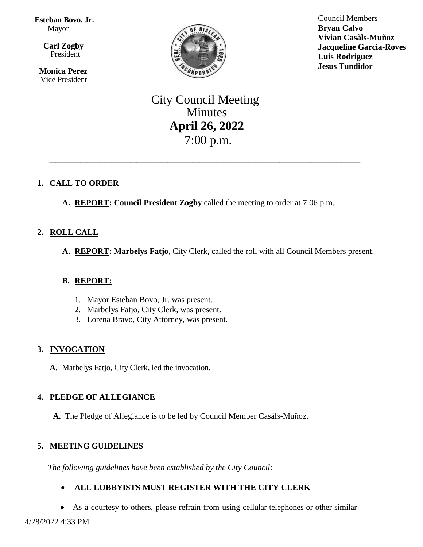**Esteban Bovo, Jr.**  Mayor

 $\overline{\mathbf{a}}$  **Carl Zogby** President

> **Monica Perez** Vice President



Council Members **Bryan Calvo Vivian Casàls-Muñoz Jacqueline Garcia-Roves Luis Rodriguez Jesus Tundidor**

# City Council Meeting Minutes **April 26, 2022** 7:00 p.m.

\_\_\_\_\_\_\_\_\_\_\_\_\_\_\_\_\_\_\_\_\_\_\_\_\_\_\_\_\_\_\_\_\_\_\_\_\_\_\_\_\_\_\_\_\_\_\_\_\_\_

# **1. CALL TO ORDER**

**A. REPORT: Council President Zogby** called the meeting to order at 7:06 p.m.

# **2. ROLL CALL**

**A. REPORT: Marbelys Fatjo**, City Clerk, called the roll with all Council Members present.

### **B. REPORT:**

- 1. Mayor Esteban Bovo, Jr. was present.
- 2. Marbelys Fatjo, City Clerk, was present.
- 3. Lorena Bravo, City Attorney, was present.

# **3. INVOCATION**

**A.** Marbelys Fatjo, City Clerk, led the invocation.

# **4. PLEDGE OF ALLEGIANCE**

**A.** The Pledge of Allegiance is to be led by Council Member Casáls-Muñoz.

# **5. MEETING GUIDELINES**

*The following guidelines have been established by the City Council*:

# **ALL LOBBYISTS MUST REGISTER WITH THE CITY CLERK**

As a courtesy to others, please refrain from using cellular telephones or other similar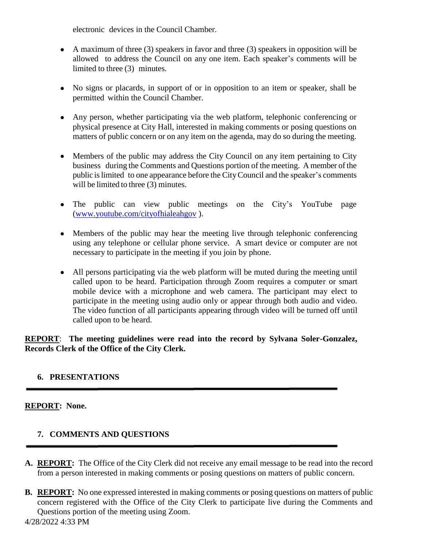electronic devices in the Council Chamber.

- A maximum of three  $(3)$  speakers in favor and three  $(3)$  speakers in opposition will be allowed to address the Council on any one item. Each speaker's comments will be limited to three (3) minutes.
- No signs or placards, in support of or in opposition to an item or speaker, shall be permitted within the Council Chamber.
- Any person, whether participating via the web platform, telephonic conferencing or physical presence at City Hall, interested in making comments or posing questions on matters of public concern or on any item on the agenda, may do so during the meeting.
- Members of the public may address the City Council on any item pertaining to City business during the Comments and Questions portion of the meeting. A member of the public islimited to one appearance before the CityCouncil and the speaker's comments will be limited to three  $(3)$  minutes.
- The public can view public meetings on the City's YouTube page [\(www.youtube.com/cityofhialeahgov](http://www.youtube.com/cityofhialeahgov) ).
- Members of the public may hear the meeting live through telephonic conferencing using any telephone or cellular phone service. A smart device or computer are not necessary to participate in the meeting if you join by phone.
- All persons participating via the web platform will be muted during the meeting until called upon to be heard. Participation through Zoom requires a computer or smart mobile device with a microphone and web camera. The participant may elect to participate in the meeting using audio only or appear through both audio and video. The video function of all participants appearing through video will be turned off until called upon to be heard.

**REPORT**: **The meeting guidelines were read into the record by Sylvana Soler-Gonzalez, Records Clerk of the Office of the City Clerk.**

# **6. PRESENTATIONS**

# **REPORT: None.**

# **7. COMMENTS AND QUESTIONS**

- **A. REPORT:** The Office of the City Clerk did not receive any email message to be read into the record from a person interested in making comments or posing questions on matters of public concern.
- **B. REPORT:** No one expressed interested in making comments or posing questions on matters of public concern registered with the Office of the City Clerk to participate live during the Comments and Questions portion of the meeting using Zoom.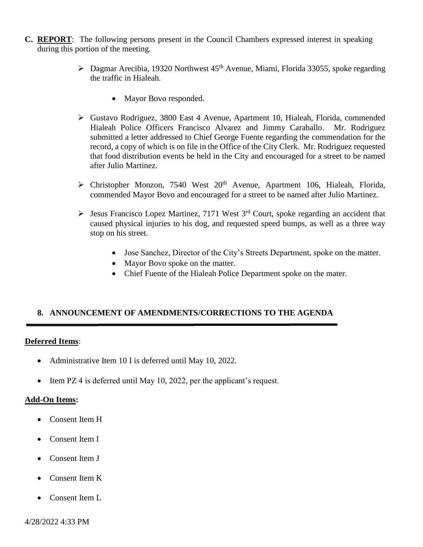- **C. REPORT**: The following persons present in the Council Chambers expressed interest in speaking during this portion of the meeting.
	- $\triangleright$  Dagmar Arecibia, 19320 Northwest 45<sup>th</sup> Avenue, Miami, Florida 33055, spoke regarding the traffic in Hialeah.
		- Mayor Bovo responded.
	- Gustavo Rodriguez, 3800 East 4 Avenue, Apartment 10, Hialeah, Florida, commended Hialeah Police Officers Francisco Alvarez and Jimmy Caraballo. Mr. Rodriguez submitted a letter addressed to Chief George Fuente regarding the commendation for the record, a copy of which is on file in the Office of the City Clerk. Mr. Rodriguez requested that food distribution events be held in the City and encouraged for a street to be named after Julio Martinez.
	- $\triangleright$  Christopher Monzon, 7540 West 20<sup>th</sup> Avenue, Apartment 106, Hialeah, Florida, commended Mayor Bovo and encouraged for a street to be named after Julio Martinez.
	- $\triangleright$  Jesus Francisco Lopez Martinez, 7171 West 3<sup>rd</sup> Court, spoke regarding an accident that caused physical injuries to his dog, and requested speed bumps, as well as a three way stop on his street.
		- Jose Sanchez, Director of the City's Streets Department, spoke on the matter.
		- Mayor Bovo spoke on the matter.
		- Chief Fuente of the Hialeah Police Department spoke on the mater.

#### **8. ANNOUNCEMENT OF AMENDMENTS/CORRECTIONS TO THE AGENDA**

#### **Deferred Items**:

- Administrative Item 10 I is deferred until May 10, 2022.
- Item PZ 4 is deferred until May 10, 2022, per the applicant's request.

#### **Add-On Items:**

- Consent Item H
- Consent Item I
- Consent Item J
- Consent Item K
- Consent Item L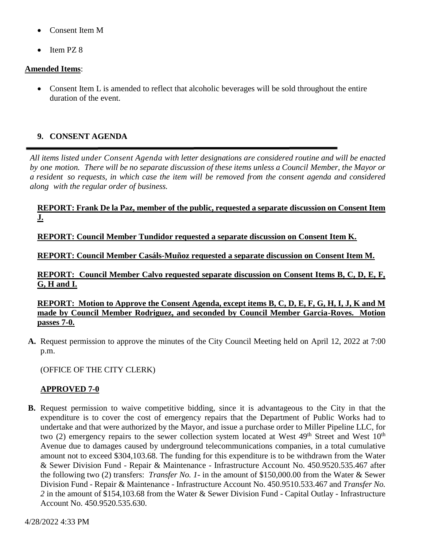- Consent Item M
- Item PZ 8

#### **Amended Items**:

• Consent Item L is amended to reflect that alcoholic beverages will be sold throughout the entire duration of the event.

# **9. CONSENT AGENDA**

*All items listed under Consent Agenda with letter designations are considered routine and will be enacted* by one motion. There will be no separate discussion of these items unless a Council Member, the Mayor or a resident so requests, in which case the item will be removed from the consent agenda and considered *along with the regular order of business.*

#### **REPORT: Frank De la Paz, member of the public, requested a separate discussion on Consent Item J.**

**REPORT: Council Member Tundidor requested a separate discussion on Consent Item K.**

**REPORT: Council Member Casáls-Muñoz requested a separate discussion on Consent Item M.**

**REPORT: Council Member Calvo requested separate discussion on Consent Items B, C, D, E, F, G, H and I.**

**REPORT: Motion to Approve the Consent Agenda, except items B, C, D, E, F, G, H, I, J, K and M made by Council Member Rodriguez, and seconded by Council Member Garcia-Roves. Motion passes 7-0.**

**A.** Request permission to approve the minutes of the City Council Meeting held on April 12, 2022 at 7:00 p.m.

(OFFICE OF THE CITY CLERK)

### **APPROVED 7-0**

**B.** Request permission to waive competitive bidding, since it is advantageous to the City in that the expenditure is to cover the cost of emergency repairs that the Department of Public Works had to undertake and that were authorized by the Mayor, and issue a purchase order to Miller Pipeline LLC, for two (2) emergency repairs to the sewer collection system located at West  $49<sup>th</sup>$  Street and West  $10<sup>th</sup>$ Avenue due to damages caused by underground telecommunications companies, in a total cumulative amount not to exceed \$304,103.68. The funding for this expenditure is to be withdrawn from the Water & Sewer Division Fund - Repair & Maintenance - Infrastructure Account No. 450.9520.535.467 after the following two (2) transfers: *Transfer No. 1*- in the amount of \$150,000.00 from the Water & Sewer Division Fund - Repair & Maintenance - Infrastructure Account No. 450.9510.533.467 and *Transfer No. 2* in the amount of \$154,103.68 from the Water & Sewer Division Fund - Capital Outlay - Infrastructure Account No. 450.9520.535.630.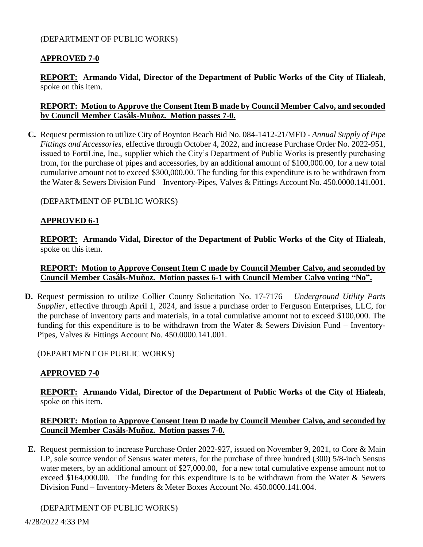#### (DEPARTMENT OF PUBLIC WORKS)

### **APPROVED 7-0**

**REPORT: Armando Vidal, Director of the Department of Public Works of the City of Hialeah**, spoke on this item.

#### **REPORT: Motion to Approve the Consent Item B made by Council Member Calvo, and seconded by Council Member Casٔáls-Muñoz. Motion passes 7-0.**

**C.** Request permission to utilize City of Boynton Beach Bid No. 084-1412-21/MFD - *Annual Supply of Pipe Fittings and Accessories,* effective through October 4, 2022, and increase Purchase Order No. 2022-951, issued to FortiLine, Inc., supplier which the City's Department of Public Works is presently purchasing from, for the purchase of pipes and accessories, by an additional amount of \$100,000.00, for a new total cumulative amount not to exceed \$300,000.00. The funding for this expenditure is to be withdrawn from the Water & Sewers Division Fund – Inventory-Pipes, Valves & Fittings Account No. 450.0000.141.001.

#### (DEPARTMENT OF PUBLIC WORKS)

#### **APPROVED 6-1**

**REPORT: Armando Vidal, Director of the Department of Public Works of the City of Hialeah**, spoke on this item.

#### **REPORT: Motion to Approve Consent Item C made by Council Member Calvo, and seconded by Council Member Casٔáls-Muñoz. Motion passes 6-1 with Council Member Calvo voting "No".**

**D.** Request permission to utilize Collier County Solicitation No. 17-7176 – *Underground Utility Parts Supplier*, effective through April 1, 2024, and issue a purchase order to Ferguson Enterprises, LLC, for the purchase of inventory parts and materials, in a total cumulative amount not to exceed \$100,000. The funding for this expenditure is to be withdrawn from the Water & Sewers Division Fund – Inventory-Pipes, Valves & Fittings Account No. 450.0000.141.001.

#### (DEPARTMENT OF PUBLIC WORKS)

### **APPROVED 7-0**

**REPORT: Armando Vidal, Director of the Department of Public Works of the City of Hialeah**, spoke on this item.

#### **REPORT: Motion to Approve Consent Item D made by Council Member Calvo, and seconded by Council Member Casٔáls-Muñoz. Motion passes 7-0.**

**E.** Request permission to increase Purchase Order 2022-927, issued on November 9, 2021, to Core & Main LP, sole source vendor of Sensus water meters, for the purchase of three hundred (300) 5/8-inch Sensus water meters, by an additional amount of \$27,000.00, for a new total cumulative expense amount not to exceed \$164,000.00. The funding for this expenditure is to be withdrawn from the Water & Sewers Division Fund – Inventory-Meters & Meter Boxes Account No. 450.0000.141.004.

### (DEPARTMENT OF PUBLIC WORKS)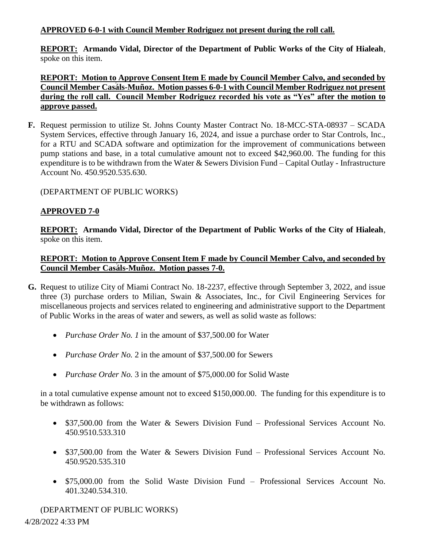# **APPROVED 6-0-1 with Council Member Rodriguez not present during the roll call.**

**REPORT: Armando Vidal, Director of the Department of Public Works of the City of Hialeah**, spoke on this item.

# **REPORT: Motion to Approve Consent Item E made by Council Member Calvo, and seconded by Council Member Casٔáls-Muñoz. Motion passes 6-0-1 with Council Member Rodriguez not present during the roll call. Council Member Rodriguez recorded his vote as "Yes" after the motion to approve passed.**

**F.** Request permission to utilize St. Johns County Master Contract No. 18-MCC-STA-08937 – SCADA System Services, effective through January 16, 2024, and issue a purchase order to Star Controls, Inc., for a RTU and SCADA software and optimization for the improvement of communications between pump stations and base, in a total cumulative amount not to exceed \$42,960.00. The funding for this expenditure is to be withdrawn from the Water & Sewers Division Fund – Capital Outlay - Infrastructure Account No. 450.9520.535.630.

(DEPARTMENT OF PUBLIC WORKS)

# **APPROVED 7-0**

**REPORT: Armando Vidal, Director of the Department of Public Works of the City of Hialeah**, spoke on this item.

# **REPORT: Motion to Approve Consent Item F made by Council Member Calvo, and seconded by Council Member Casٔáls-Muñoz. Motion passes 7-0.**

- **G.** Request to utilize City of Miami Contract No. 18-2237, effective through September 3, 2022, and issue three (3) purchase orders to Milian, Swain & Associates, Inc., for Civil Engineering Services for miscellaneous projects and services related to engineering and administrative support to the Department of Public Works in the areas of water and sewers, as well as solid waste as follows:
	- *Purchase Order No. 1* in the amount of \$37,500.00 for Water
	- *Purchase Order No.* 2 in the amount of \$37,500.00 for Sewers
	- *Purchase Order No.* 3 in the amount of \$75,000.00 for Solid Waste

in a total cumulative expense amount not to exceed \$150,000.00. The funding for this expenditure is to be withdrawn as follows:

- \$37,500.00 from the Water & Sewers Division Fund Professional Services Account No. 450.9510.533.310
- \$37,500.00 from the Water & Sewers Division Fund Professional Services Account No. 450.9520.535.310
- \$75,000.00 from the Solid Waste Division Fund Professional Services Account No. 401.3240.534.310.

4/28/2022 4:33 PM (DEPARTMENT OF PUBLIC WORKS)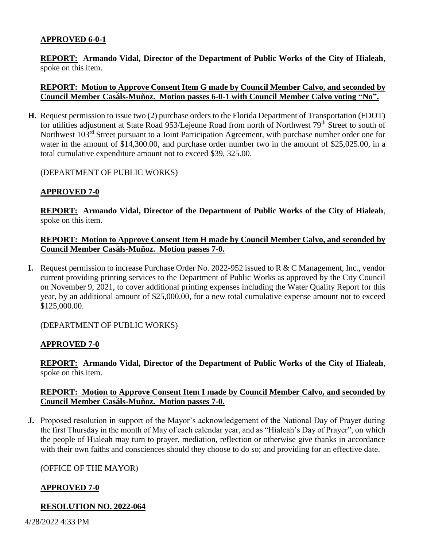### **APPROVED 6-0-1**

**REPORT: Armando Vidal, Director of the Department of Public Works of the City of Hialeah**, spoke on this item.

#### **REPORT: Motion to Approve Consent Item G made by Council Member Calvo, and seconded by Council Member Casٔáls-Muñoz. Motion passes 6-0-1 with Council Member Calvo voting "No".**

**H.** Request permission to issue two (2) purchase orders to the Florida Department of Transportation (FDOT) for utilities adjustment at State Road 953/Lejeune Road from north of Northwest 79<sup>th</sup> Street to south of Northwest 103rd Street pursuant to a Joint Participation Agreement, with purchase number order one for water in the amount of \$14,300.00, and purchase order number two in the amount of \$25,025.00, in a total cumulative expenditure amount not to exceed \$39, 325.00.

(DEPARTMENT OF PUBLIC WORKS)

# **APPROVED 7-0**

**REPORT: Armando Vidal, Director of the Department of Public Works of the City of Hialeah**, spoke on this item.

#### **REPORT: Motion to Approve Consent Item H made by Council Member Calvo, and seconded by Council Member Casٔáls-Muñoz. Motion passes 7-0.**

**I.** Request permission to increase Purchase Order No. 2022-952 issued to R & C Management, Inc., vendor current providing printing services to the Department of Public Works as approved by the City Council on November 9, 2021, to cover additional printing expenses including the Water Quality Report for this year, by an additional amount of \$25,000.00, for a new total cumulative expense amount not to exceed \$125,000.00.

(DEPARTMENT OF PUBLIC WORKS)

### **APPROVED 7-0**

**REPORT: Armando Vidal, Director of the Department of Public Works of the City of Hialeah**, spoke on this item.

### **REPORT: Motion to Approve Consent Item I made by Council Member Calvo, and seconded by Council Member Casٔáls-Muñoz. Motion passes 7-0.**

**J.** Proposed resolution in support of the Mayor's acknowledgement of the National Day of Prayer during the first Thursday in the month of May of each calendar year, and as "Hialeah's Day of Prayer", on which the people of Hialeah may turn to prayer, mediation, reflection or otherwise give thanks in accordance with their own faiths and consciences should they choose to do so; and providing for an effective date.

### (OFFICE OF THE MAYOR)

### **APPROVED 7-0**

### **RESOLUTION NO. 2022-064**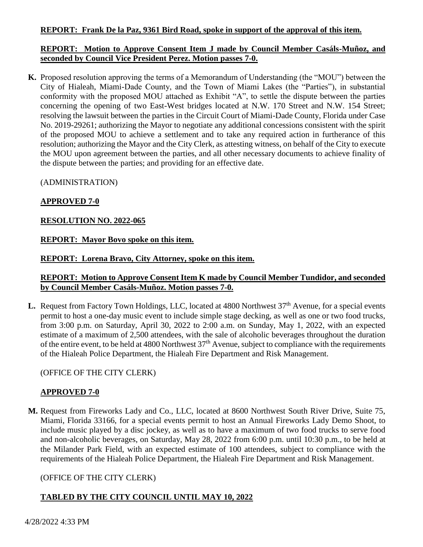### **REPORT: Frank De la Paz, 9361 Bird Road, spoke in support of the approval of this item.**

### **REPORT: Motion to Approve Consent Item J made by Council Member Casáls-Muñoz, and seconded by Council Vice President Perez. Motion passes 7-0.**

**K.** Proposed resolution approving the terms of a Memorandum of Understanding (the "MOU") between the City of Hialeah, Miami-Dade County, and the Town of Miami Lakes (the "Parties"), in substantial conformity with the proposed MOU attached as Exhibit "A", to settle the dispute between the parties concerning the opening of two East-West bridges located at N.W. 170 Street and N.W. 154 Street; resolving the lawsuit between the parties in the Circuit Court of Miami-Dade County, Florida under Case No. 2019-29261; authorizing the Mayor to negotiate any additional concessions consistent with the spirit of the proposed MOU to achieve a settlement and to take any required action in furtherance of this resolution; authorizing the Mayor and the City Clerk, as attesting witness, on behalf of the City to execute the MOU upon agreement between the parties, and all other necessary documents to achieve finality of the dispute between the parties; and providing for an effective date.

(ADMINISTRATION)

# **APPROVED 7-0**

# **RESOLUTION NO. 2022-065**

### **REPORT: Mayor Bovo spoke on this item.**

### **REPORT: Lorena Bravo, City Attorney, spoke on this item.**

# **REPORT: Motion to Approve Consent Item K made by Council Member Tundidor, and seconded by Council Member Casáls-Muñoz. Motion passes 7-0.**

**L.** Request from Factory Town Holdings, LLC, located at 4800 Northwest 37<sup>th</sup> Avenue, for a special events permit to host a one-day music event to include simple stage decking, as well as one or two food trucks, from 3:00 p.m. on Saturday, April 30, 2022 to 2:00 a.m. on Sunday, May 1, 2022, with an expected estimate of a maximum of 2,500 attendees, with the sale of alcoholic beverages throughout the duration of the entire event, to be held at 4800 Northwest 37<sup>th</sup> Avenue, subject to compliance with the requirements of the Hialeah Police Department, the Hialeah Fire Department and Risk Management.

# (OFFICE OF THE CITY CLERK)

# **APPROVED 7-0**

**M.** Request from Fireworks Lady and Co., LLC, located at 8600 Northwest South River Drive, Suite 75, Miami, Florida 33166, for a special events permit to host an Annual Fireworks Lady Demo Shoot, to include music played by a disc jockey, as well as to have a maximum of two food trucks to serve food and non-alcoholic beverages, on Saturday, May 28, 2022 from 6:00 p.m. until 10:30 p.m., to be held at the Milander Park Field, with an expected estimate of 100 attendees, subject to compliance with the requirements of the Hialeah Police Department, the Hialeah Fire Department and Risk Management.

# (OFFICE OF THE CITY CLERK)

# **TABLED BY THE CITY COUNCIL UNTIL MAY 10, 2022**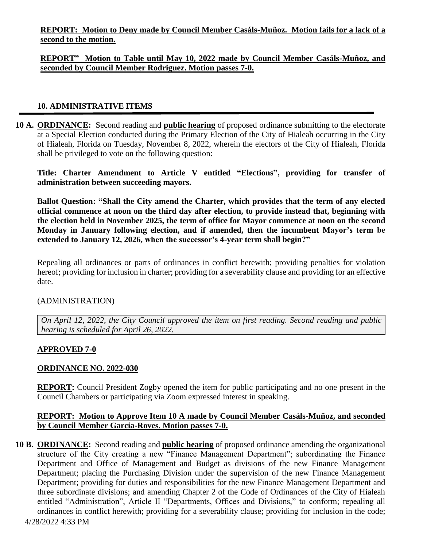**REPORT: Motion to Deny made by Council Member Casáls-Muñoz. Motion fails for a lack of a second to the motion.**

# **REPORT" Motion to Table until May 10, 2022 made by Council Member Casáls-Muñoz, and seconded by Council Member Rodriguez. Motion passes 7-0.**

#### **10. ADMINISTRATIVE ITEMS**

**10 A. ORDINANCE:** Second reading and **public hearing** of proposed ordinance submitting to the electorate at a Special Election conducted during the Primary Election of the City of Hialeah occurring in the City of Hialeah, Florida on Tuesday, November 8, 2022, wherein the electors of the City of Hialeah, Florida shall be privileged to vote on the following question:

**Title: Charter Amendment to Article V entitled "Elections", providing for transfer of administration between succeeding mayors.**

**Ballot Question: "Shall the City amend the Charter, which provides that the term of any elected official commence at noon on the third day after election, to provide instead that, beginning with the election held in November 2025, the term of office for Mayor commence at noon on the second Monday in January following election, and if amended, then the incumbent Mayor's term be extended to January 12, 2026, when the successor's 4-year term shall begin?"**

Repealing all ordinances or parts of ordinances in conflict herewith; providing penalties for violation hereof; providing for inclusion in charter; providing for a severability clause and providing for an effective date.

#### (ADMINISTRATION)

*On April 12, 2022, the City Council approved the item on first reading. Second reading and public hearing is scheduled for April 26, 2022.*

### **APPROVED 7-0**

### **ORDINANCE NO. 2022-030**

**REPORT:** Council President Zogby opened the item for public participating and no one present in the Council Chambers or participating via Zoom expressed interest in speaking.

### **REPORT: Motion to Approve Item 10 A made by Council Member Casáls-Muñoz, and seconded by Council Member Garcia-Roves. Motion passes 7-0.**

**10 B**. **ORDINANCE:** Second reading and **public hearing** of proposed ordinance amending the organizational structure of the City creating a new "Finance Management Department"; subordinating the Finance Department and Office of Management and Budget as divisions of the new Finance Management Department; placing the Purchasing Division under the supervision of the new Finance Management Department; providing for duties and responsibilities for the new Finance Management Department and three subordinate divisions; and amending Chapter 2 of the Code of Ordinances of the City of Hialeah entitled "Administration", Article II "Departments, Offices and Divisions," to conform; repealing all ordinances in conflict herewith; providing for a severability clause; providing for inclusion in the code;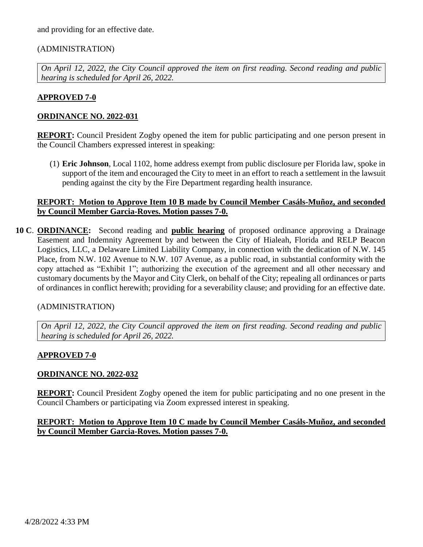and providing for an effective date.

# (ADMINISTRATION)

*On April 12, 2022, the City Council approved the item on first reading. Second reading and public hearing is scheduled for April 26, 2022.*

#### **APPROVED 7-0**

#### **ORDINANCE NO. 2022-031**

**REPORT:** Council President Zogby opened the item for public participating and one person present in the Council Chambers expressed interest in speaking:

(1) **Eric Johnson**, Local 1102, home address exempt from public disclosure per Florida law, spoke in support of the item and encouraged the City to meet in an effort to reach a settlement in the lawsuit pending against the city by the Fire Department regarding health insurance.

#### **REPORT: Motion to Approve Item 10 B made by Council Member Casáls-Muñoz, and seconded by Council Member Garcia-Roves. Motion passes 7-0.**

**10 C**. **ORDINANCE:** Second reading and **public hearing** of proposed ordinance approving a Drainage Easement and Indemnity Agreement by and between the City of Hialeah, Florida and RELP Beacon Logistics, LLC, a Delaware Limited Liability Company, in connection with the dedication of N.W. 145 Place, from N.W. 102 Avenue to N.W. 107 Avenue, as a public road, in substantial conformity with the copy attached as "Exhibit 1"; authorizing the execution of the agreement and all other necessary and customary documents by the Mayor and City Clerk, on behalf of the City; repealing all ordinances or parts of ordinances in conflict herewith; providing for a severability clause; and providing for an effective date.

### (ADMINISTRATION)

*On April 12, 2022, the City Council approved the item on first reading. Second reading and public hearing is scheduled for April 26, 2022.*

### **APPROVED 7-0**

#### **ORDINANCE NO. 2022-032**

**REPORT:** Council President Zogby opened the item for public participating and no one present in the Council Chambers or participating via Zoom expressed interest in speaking.

#### **REPORT: Motion to Approve Item 10 C made by Council Member Casáls-Muñoz, and seconded by Council Member Garcia-Roves. Motion passes 7-0.**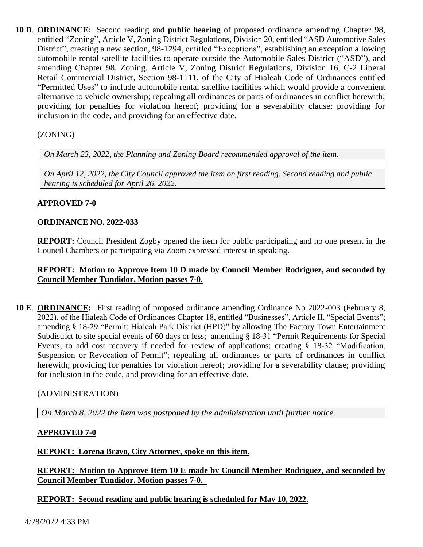**10 D**. **ORDINANCE:** Second reading and **public hearing** of proposed ordinance amending Chapter 98, entitled "Zoning", Article V, Zoning District Regulations, Division 20, entitled "ASD Automotive Sales District", creating a new section, 98-1294, entitled "Exceptions", establishing an exception allowing automobile rental satellite facilities to operate outside the Automobile Sales District ("ASD"), and amending Chapter 98, Zoning, Article V, Zoning District Regulations, Division 16, C-2 Liberal Retail Commercial District, Section 98-1111, of the City of Hialeah Code of Ordinances entitled "Permitted Uses" to include automobile rental satellite facilities which would provide a convenient alternative to vehicle ownership; repealing all ordinances or parts of ordinances in conflict herewith; providing for penalties for violation hereof; providing for a severability clause; providing for inclusion in the code, and providing for an effective date.

# (ZONING)

*On March 23, 2022, the Planning and Zoning Board recommended approval of the item.*

*On April 12, 2022, the City Council approved the item on first reading. Second reading and public hearing is scheduled for April 26, 2022.*

# **APPROVED 7-0**

### **ORDINANCE NO. 2022-033**

**REPORT:** Council President Zogby opened the item for public participating and no one present in the Council Chambers or participating via Zoom expressed interest in speaking.

### **REPORT: Motion to Approve Item 10 D made by Council Member Rodriguez, and seconded by Council Member Tundidor. Motion passes 7-0.**

**10 E**. **ORDINANCE:** First reading of proposed ordinance amending Ordinance No 2022-003 (February 8, 2022), of the Hialeah Code of Ordinances Chapter 18, entitled "Businesses", Article II, "Special Events"; amending § 18-29 "Permit; Hialeah Park District (HPD)" by allowing The Factory Town Entertainment Subdistrict to site special events of 60 days or less; amending § 18-31 "Permit Requirements for Special Events; to add cost recovery if needed for review of applications; creating § 18-32 "Modification, Suspension or Revocation of Permit"; repealing all ordinances or parts of ordinances in conflict herewith; providing for penalties for violation hereof; providing for a severability clause; providing for inclusion in the code, and providing for an effective date.

### (ADMINISTRATION)

*On March 8, 2022 the item was postponed by the administration until further notice.*

### **APPROVED 7-0**

### **REPORT: Lorena Bravo, City Attorney, spoke on this item.**

**REPORT: Motion to Approve Item 10 E made by Council Member Rodriguez, and seconded by Council Member Tundidor. Motion passes 7-0.** 

### **REPORT: Second reading and public hearing is scheduled for May 10, 2022.**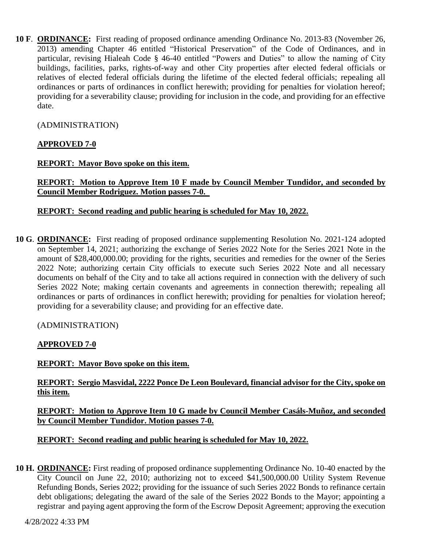**10 F**. **ORDINANCE:** First reading of proposed ordinance amending Ordinance No. 2013-83 (November 26, 2013) amending Chapter 46 entitled "Historical Preservation" of the Code of Ordinances, and in particular, revising Hialeah Code § 46-40 entitled "Powers and Duties" to allow the naming of City buildings, facilities, parks, rights-of-way and other City properties after elected federal officials or relatives of elected federal officials during the lifetime of the elected federal officials; repealing all ordinances or parts of ordinances in conflict herewith; providing for penalties for violation hereof; providing for a severability clause; providing for inclusion in the code, and providing for an effective date.

# (ADMINISTRATION)

# **APPROVED 7-0**

### **REPORT: Mayor Bovo spoke on this item.**

**REPORT: Motion to Approve Item 10 F made by Council Member Tundidor, and seconded by Council Member Rodriguez. Motion passes 7-0.** 

### **REPORT: Second reading and public hearing is scheduled for May 10, 2022.**

**10 G**. **ORDINANCE:** First reading of proposed ordinance supplementing Resolution No. 2021-124 adopted on September 14, 2021; authorizing the exchange of Series 2022 Note for the Series 2021 Note in the amount of \$28,400,000.00; providing for the rights, securities and remedies for the owner of the Series 2022 Note; authorizing certain City officials to execute such Series 2022 Note and all necessary documents on behalf of the City and to take all actions required in connection with the delivery of such Series 2022 Note; making certain covenants and agreements in connection therewith; repealing all ordinances or parts of ordinances in conflict herewith; providing for penalties for violation hereof; providing for a severability clause; and providing for an effective date.

### (ADMINISTRATION)

# **APPROVED 7-0**

### **REPORT: Mayor Bovo spoke on this item.**

# **REPORT: Sergio Masvidal, 2222 Ponce De Leon Boulevard, financial advisor for the City, spoke on this item.**

#### **REPORT: Motion to Approve Item 10 G made by Council Member Casáls-Muñoz, and seconded by Council Member Tundidor. Motion passes 7-0.**

### **REPORT: Second reading and public hearing is scheduled for May 10, 2022.**

**10 H. ORDINANCE:** First reading of proposed ordinance supplementing Ordinance No. 10-40 enacted by the City Council on June 22, 2010; authorizing not to exceed \$41,500,000.00 Utility System Revenue Refunding Bonds, Series 2022; providing for the issuance of such Series 2022 Bonds to refinance certain debt obligations; delegating the award of the sale of the Series 2022 Bonds to the Mayor; appointing a registrar and paying agent approving the form of the Escrow Deposit Agreement; approving the execution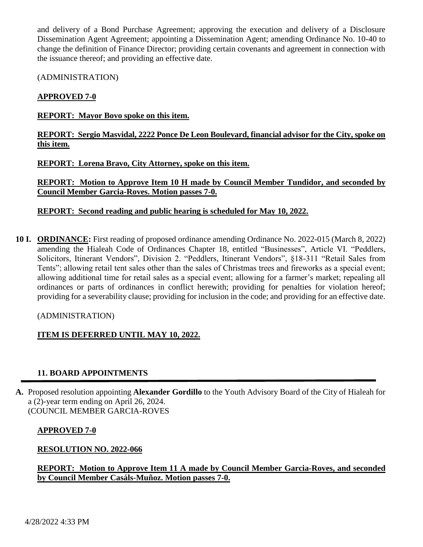and delivery of a Bond Purchase Agreement; approving the execution and delivery of a Disclosure Dissemination Agent Agreement; appointing a Dissemination Agent; amending Ordinance No. 10-40 to change the definition of Finance Director; providing certain covenants and agreement in connection with the issuance thereof; and providing an effective date.

(ADMINISTRATION)

# **APPROVED 7-0**

#### **REPORT: Mayor Bovo spoke on this item.**

# **REPORT: Sergio Masvidal, 2222 Ponce De Leon Boulevard, financial advisor for the City, spoke on this item.**

**REPORT: Lorena Bravo, City Attorney, spoke on this item.**

**REPORT: Motion to Approve Item 10 H made by Council Member Tundidor, and seconded by Council Member Garcia-Roves. Motion passes 7-0.**

**REPORT: Second reading and public hearing is scheduled for May 10, 2022.**

**10 I. ORDINANCE:** First reading of proposed ordinance amending Ordinance No. 2022-015 (March 8, 2022) amending the Hialeah Code of Ordinances Chapter 18, entitled "Businesses", Article VI. "Peddlers, Solicitors, Itinerant Vendors", Division 2. "Peddlers, Itinerant Vendors", §18-311 "Retail Sales from Tents"; allowing retail tent sales other than the sales of Christmas trees and fireworks as a special event; allowing additional time for retail sales as a special event; allowing for a farmer's market; repealing all ordinances or parts of ordinances in conflict herewith; providing for penalties for violation hereof; providing for a severability clause; providing for inclusion in the code; and providing for an effective date.

### (ADMINISTRATION)

### **ITEM IS DEFERRED UNTIL MAY 10, 2022.**

### **11. BOARD APPOINTMENTS**

**A.** Proposed resolution appointing **Alexander Gordillo** to the Youth Advisory Board of the City of Hialeah for a (2)-year term ending on April 26, 2024. (COUNCIL MEMBER GARCIA-ROVES

#### **APPROVED 7-0**

### **RESOLUTION NO. 2022-066**

**REPORT: Motion to Approve Item 11 A made by Council Member Garcia-Roves, and seconded by Council Member Casáls-Muñoz. Motion passes 7-0.**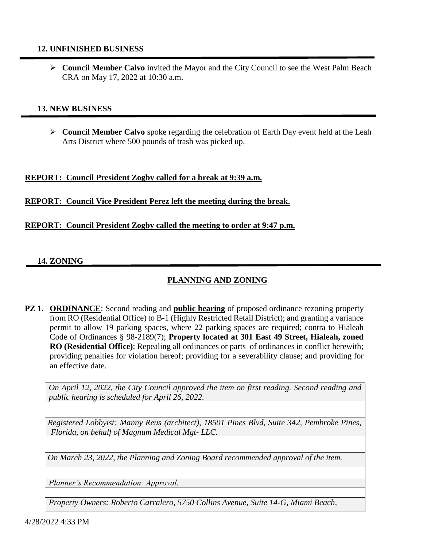#### **12. UNFINISHED BUSINESS**

 **Council Member Calvo** invited the Mayor and the City Council to see the West Palm Beach CRA on May 17, 2022 at 10:30 a.m.

#### **13. NEW BUSINESS**

 **Council Member Calvo** spoke regarding the celebration of Earth Day event held at the Leah Arts District where 500 pounds of trash was picked up.

#### **REPORT: Council President Zogby called for a break at 9:39 a.m.**

#### **REPORT: Council Vice President Perez left the meeting during the break.**

#### **REPORT: Council President Zogby called the meeting to order at 9:47 p.m.**

#### **14. ZONING**

# **PLANNING AND ZONING**

**PZ 1. ORDINANCE:** Second reading and **public hearing** of proposed ordinance rezoning property from RO (Residential Office) to B-1 (Highly Restricted Retail District); and granting a variance permit to allow 19 parking spaces, where 22 parking spaces are required; contra to Hialeah Code of Ordinances § 98-2189(7); **Property located at 301 East 49 Street, Hialeah, zoned RO (Residential Office)**; Repealing all ordinances or parts of ordinances in conflict herewith; providing penalties for violation hereof; providing for a severability clause; and providing for an effective date.

*On April 12, 2022, the City Council approved the item on first reading. Second reading and public hearing is scheduled for April 26, 2022.*

*Registered Lobbyist: Manny Reus (architect), 18501 Pines Blvd, Suite 342, Pembroke Pines, Florida, on behalf of Magnum Medical Mgt- LLC.*

*On March 23, 2022, the Planning and Zoning Board recommended approval of the item.*

*Planner's Recommendation: Approval.*

*Property Owners: Roberto Carralero, 5750 Collins Avenue, Suite 14-G, Miami Beach,*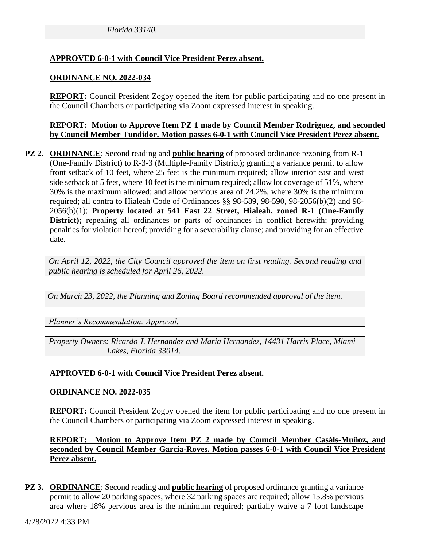# **APPROVED 6-0-1 with Council Vice President Perez absent.**

#### **ORDINANCE NO. 2022-034**

**REPORT:** Council President Zogby opened the item for public participating and no one present in the Council Chambers or participating via Zoom expressed interest in speaking.

#### **REPORT: Motion to Approve Item PZ 1 made by Council Member Rodriguez, and seconded by Council Member Tundidor. Motion passes 6-0-1 with Council Vice President Perez absent.**

**PZ 2. ORDINANCE**: Second reading and **public hearing** of proposed ordinance rezoning from R-1 (One-Family District) to R-3-3 (Multiple-Family District); granting a variance permit to allow front setback of 10 feet, where 25 feet is the minimum required; allow interior east and west side setback of 5 feet, where 10 feet is the minimum required; allow lot coverage of 51%, where 30% is the maximum allowed; and allow pervious area of 24.2%, where 30% is the minimum required; all contra to Hialeah Code of Ordinances §§ 98-589, 98-590, 98-2056(b)(2) and 98- 2056(b)(1); **Property located at 541 East 22 Street, Hialeah, zoned R-1 (One-Family District);** repealing all ordinances or parts of ordinances in conflict herewith; providing penalties for violation hereof; providing for a severability clause; and providing for an effective date.

*On April 12, 2022, the City Council approved the item on first reading. Second reading and public hearing is scheduled for April 26, 2022.*

*On March 23, 2022, the Planning and Zoning Board recommended approval of the item.*

*Planner's Recommendation: Approval.*

*Property Owners: Ricardo J. Hernandez and Maria Hernandez, 14431 Harris Place, Miami Lakes, Florida 33014.*

### **APPROVED 6-0-1 with Council Vice President Perez absent.**

#### **ORDINANCE NO. 2022-035**

**REPORT:** Council President Zogby opened the item for public participating and no one present in the Council Chambers or participating via Zoom expressed interest in speaking.

**REPORT: Motion to Approve Item PZ 2 made by Council Member Casáls-Muñoz, and seconded by Council Member Garcia-Roves. Motion passes 6-0-1 with Council Vice President Perez absent.**

**PZ 3. ORDINANCE:** Second reading and **public hearing** of proposed ordinance granting a variance permit to allow 20 parking spaces, where 32 parking spaces are required; allow 15.8% pervious area where 18% pervious area is the minimum required; partially waive a 7 foot landscape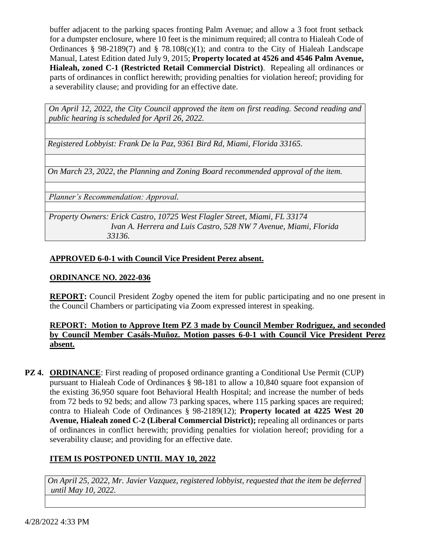buffer adjacent to the parking spaces fronting Palm Avenue; and allow a 3 foot front setback for a dumpster enclosure, where 10 feet is the minimum required; all contra to Hialeah Code of Ordinances § 98-2189(7) and § 78.108(c)(1); and contra to the City of Hialeah Landscape Manual, Latest Edition dated July 9, 2015; **Property located at 4526 and 4546 Palm Avenue, Hialeah, zoned C-1 (Restricted Retail Commercial District)**. Repealing all ordinances or parts of ordinances in conflict herewith; providing penalties for violation hereof; providing for a severability clause; and providing for an effective date.

*On April 12, 2022, the City Council approved the item on first reading. Second reading and public hearing is scheduled for April 26, 2022.*

*Registered Lobbyist: Frank De la Paz, 9361 Bird Rd, Miami, Florida 33165.*

*On March 23, 2022, the Planning and Zoning Board recommended approval of the item.*

*Planner's Recommendation: Approval.*

*Property Owners: Erick Castro, 10725 West Flagler Street, Miami, FL 33174 Ivan A. Herrera and Luis Castro, 528 NW 7 Avenue, Miami, Florida 33136.*

### **APPROVED 6-0-1 with Council Vice President Perez absent.**

#### **ORDINANCE NO. 2022-036**

**REPORT:** Council President Zogby opened the item for public participating and no one present in the Council Chambers or participating via Zoom expressed interest in speaking.

# **REPORT: Motion to Approve Item PZ 3 made by Council Member Rodriguez, and seconded by Council Member Casáls-Muñoz. Motion passes 6-0-1 with Council Vice President Perez absent.**

**PZ 4. ORDINANCE**: First reading of proposed ordinance granting a Conditional Use Permit (CUP) pursuant to Hialeah Code of Ordinances § 98-181 to allow a 10,840 square foot expansion of the existing 36,950 square foot Behavioral Health Hospital; and increase the number of beds from 72 beds to 92 beds; and allow 73 parking spaces, where 115 parking spaces are required; contra to Hialeah Code of Ordinances § 98-2189(12); **Property located at 4225 West 20 Avenue, Hialeah zoned C-2 (Liberal Commercial District);** repealing all ordinances or parts of ordinances in conflict herewith; providing penalties for violation hereof; providing for a severability clause; and providing for an effective date.

### **ITEM IS POSTPONED UNTIL MAY 10, 2022**

*On April 25, 2022, Mr. Javier Vazquez, registered lobbyist, requested that the item be deferred until May 10, 2022.*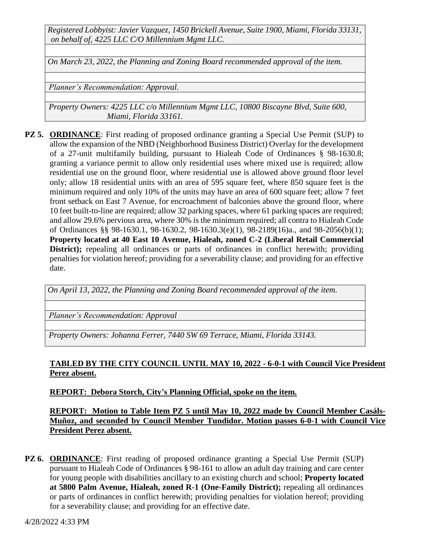*Registered Lobbyist: Javier Vazquez, 1450 Brickell Avenue, Suite 1900, Miami, Florida 33131, on behalf of, 4225 LLC C/O Millennium Mgmt LLC.*

*On March 23, 2022, the Planning and Zoning Board recommended approval of the item.*

*Planner's Recommendation: Approval.*

*Property Owners: 4225 LLC c/o Millennium Mgmt LLC, 10800 Biscayne Blvd, Suite 600, Miami, Florida 33161.*

**PZ 5. ORDINANCE**: First reading of proposed ordinance granting a Special Use Permit (SUP) to allow the expansion of the NBD (Neighborhood Business District) Overlay for the development of a 27-unit multifamily building, pursuant to Hialeah Code of Ordinances § 98-1630.8; granting a variance permit to allow only residential uses where mixed use is required; allow residential use on the ground floor, where residential use is allowed above ground floor level only; allow 18 residential units with an area of 595 square feet, where 850 square feet is the minimum required and only 10% of the units may have an area of 600 square feet; allow 7 feet front setback on East 7 Avenue, for encroachment of balconies above the ground floor, where 10 feet built-to-line are required; allow 32 parking spaces, where 61 parking spaces are required; and allow 29.6% pervious area, where 30% is the minimum required; all contra to Hialeah Code of Ordinances §§ 98-1630.1, 98-1630.2, 98-1630.3(e)(1), 98-2189(16)a., and 98-2056(b)(1); **Property located at 40 East 10 Avenue, Hialeah, zoned C-2 (Liberal Retail Commercial District);** repealing all ordinances or parts of ordinances in conflict herewith; providing penalties for violation hereof; providing for a severability clause; and providing for an effective date.

*On April 13, 2022, the Planning and Zoning Board recommended approval of the item.*

*Planner's Recommendation: Approval*

*Property Owners: Johanna Ferrer, 7440 SW 69 Terrace, Miami, Florida 33143.*

### **TABLED BY THE CITY COUNCIL UNTIL MAY 10, 2022 - 6-0-1 with Council Vice President Perez absent.**

**REPORT: Debora Storch, City's Planning Official, spoke on the item.**

**REPORT: Motion to Table Item PZ 5 until May 10, 2022 made by Council Member Casáls-Muñoz, and seconded by Council Member Tundidor. Motion passes 6-0-1 with Council Vice President Perez absent.**

**PZ 6. ORDINANCE**: First reading of proposed ordinance granting a Special Use Permit (SUP) pursuant to Hialeah Code of Ordinances § 98-161 to allow an adult day training and care center for young people with disabilities ancillary to an existing church and school; **Property located at 5800 Palm Avenue, Hialeah, zoned R-1 (One-Family District);** repealing all ordinances or parts of ordinances in conflict herewith; providing penalties for violation hereof; providing for a severability clause; and providing for an effective date.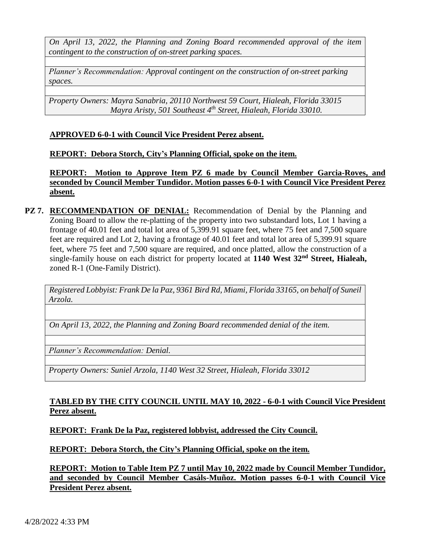*On April 13, 2022, the Planning and Zoning Board recommended approval of the item contingent to the construction of on-street parking spaces.*

*Planner's Recommendation: Approval contingent on the construction of on-street parking spaces.*

*Property Owners: Mayra Sanabria, 20110 Northwest 59 Court, Hialeah, Florida 33015 Mayra Aristy, 501 Southeast 4th Street, Hialeah, Florida 33010.*

#### **APPROVED 6-0-1 with Council Vice President Perez absent.**

#### **REPORT: Debora Storch, City's Planning Official, spoke on the item.**

**REPORT: Motion to Approve Item PZ 6 made by Council Member Garcia-Roves, and seconded by Council Member Tundidor. Motion passes 6-0-1 with Council Vice President Perez absent.**

**PZ 7. RECOMMENDATION OF DENIAL:** Recommendation of Denial by the Planning and Zoning Board to allow the re-platting of the property into two substandard lots, Lot 1 having a frontage of 40.01 feet and total lot area of 5,399.91 square feet, where 75 feet and 7,500 square feet are required and Lot 2, having a frontage of 40.01 feet and total lot area of 5,399.91 square feet, where 75 feet and 7,500 square are required, and once platted, allow the construction of a single-family house on each district for property located at **1140 West 32nd Street, Hialeah,** zoned R-1 (One-Family District).

*Registered Lobbyist: Frank De la Paz, 9361 Bird Rd, Miami, Florida 33165, on behalf of Suneil Arzola.*

*On April 13, 2022, the Planning and Zoning Board recommended denial of the item.*

*Planner's Recommendation: Denial.*

*Property Owners: Suniel Arzola, 1140 West 32 Street, Hialeah, Florida 33012*

### **TABLED BY THE CITY COUNCIL UNTIL MAY 10, 2022 - 6-0-1 with Council Vice President Perez absent.**

### **REPORT: Frank De la Paz, registered lobbyist, addressed the City Council.**

**REPORT: Debora Storch, the City's Planning Official, spoke on the item.**

**REPORT: Motion to Table Item PZ 7 until May 10, 2022 made by Council Member Tundidor, and seconded by Council Member Casáls-Muñoz. Motion passes 6-0-1 with Council Vice President Perez absent.**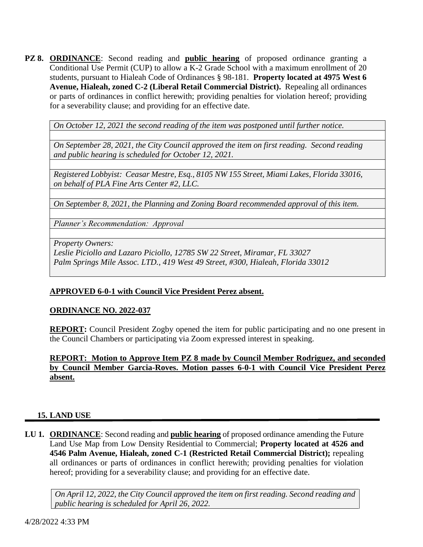**PZ 8. ORDINANCE**: Second reading and **public hearing** of proposed ordinance granting a Conditional Use Permit (CUP) to allow a K-2 Grade School with a maximum enrollment of 20 students, pursuant to Hialeah Code of Ordinances § 98-181. **Property located at 4975 West 6 Avenue, Hialeah, zoned C-2 (Liberal Retail Commercial District).** Repealing all ordinances or parts of ordinances in conflict herewith; providing penalties for violation hereof; providing for a severability clause; and providing for an effective date.

*On October 12, 2021 the second reading of the item was postponed until further notice.*

*On September 28, 2021, the City Council approved the item on first reading. Second reading and public hearing is scheduled for October 12, 2021.*

*Registered Lobbyist: Ceasar Mestre, Esq., 8105 NW 155 Street, Miami Lakes, Florida 33016, on behalf of PLA Fine Arts Center #2, LLC.*

*On September 8, 2021, the Planning and Zoning Board recommended approval of this item.*

*Planner's Recommendation: Approval*

*Property Owners:* 

*Leslie Piciollo and Lazaro Piciollo, 12785 SW 22 Street, Miramar, FL 33027 Palm Springs Mile Assoc. LTD., 419 West 49 Street, #300, Hialeah, Florida 33012*

#### **APPROVED 6-0-1 with Council Vice President Perez absent.**

#### **ORDINANCE NO. 2022-037**

**REPORT:** Council President Zogby opened the item for public participating and no one present in the Council Chambers or participating via Zoom expressed interest in speaking.

**REPORT: Motion to Approve Item PZ 8 made by Council Member Rodriguez, and seconded by Council Member Garcia-Roves. Motion passes 6-0-1 with Council Vice President Perez absent.**

#### **15. LAND USE**

**LU 1. ORDINANCE**: Second reading and **public hearing** of proposed ordinance amending the Future Land Use Map from Low Density Residential to Commercial; **Property located at 4526 and 4546 Palm Avenue, Hialeah, zoned C-1 (Restricted Retail Commercial District);** repealing all ordinances or parts of ordinances in conflict herewith; providing penalties for violation hereof; providing for a severability clause; and providing for an effective date.

*On April 12, 2022, the City Council approved the item on first reading. Second reading and public hearing is scheduled for April 26, 2022.*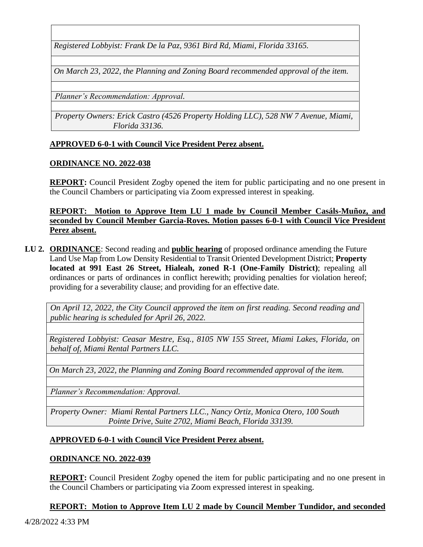*Registered Lobbyist: Frank De la Paz, 9361 Bird Rd, Miami, Florida 33165.*

*On March 23, 2022, the Planning and Zoning Board recommended approval of the item.*

*Planner's Recommendation: Approval.*

*Property Owners: Erick Castro (4526 Property Holding LLC), 528 NW 7 Avenue, Miami, Florida 33136.*

#### **APPROVED 6-0-1 with Council Vice President Perez absent.**

#### **ORDINANCE NO. 2022-038**

**REPORT:** Council President Zogby opened the item for public participating and no one present in the Council Chambers or participating via Zoom expressed interest in speaking.

**REPORT: Motion to Approve Item LU 1 made by Council Member Casáls-Muñoz, and seconded by Council Member Garcia-Roves. Motion passes 6-0-1 with Council Vice President Perez absent.**

**LU 2. ORDINANCE**: Second reading and **public hearing** of proposed ordinance amending the Future Land Use Map from Low Density Residential to Transit Oriented Development District; **Property located at 991 East 26 Street, Hialeah, zoned R-1 (One-Family District)**; repealing all ordinances or parts of ordinances in conflict herewith; providing penalties for violation hereof; providing for a severability clause; and providing for an effective date.

*On April 12, 2022, the City Council approved the item on first reading. Second reading and public hearing is scheduled for April 26, 2022.*

*Registered Lobbyist: Ceasar Mestre, Esq., 8105 NW 155 Street, Miami Lakes, Florida, on behalf of, Miami Rental Partners LLC.*

*On March 23, 2022, the Planning and Zoning Board recommended approval of the item.*

*Planner's Recommendation: Approval.* 

*Property Owner: Miami Rental Partners LLC., Nancy Ortiz, Monica Otero, 100 South Pointe Drive, Suite 2702, Miami Beach, Florida 33139.*

#### **APPROVED 6-0-1 with Council Vice President Perez absent.**

#### **ORDINANCE NO. 2022-039**

**REPORT:** Council President Zogby opened the item for public participating and no one present in the Council Chambers or participating via Zoom expressed interest in speaking.

**REPORT: Motion to Approve Item LU 2 made by Council Member Tundidor, and seconded**